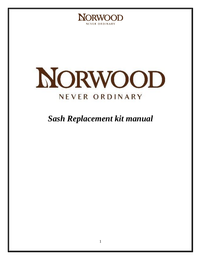



### *Sash Replacement kit manual*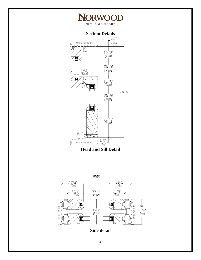

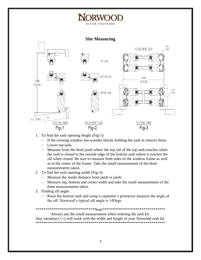# NEVER ORDINARY

**Site Measuring** 



- 1. To find the sash opening height (Fig-1):
	- If the existing window has wooden blocks holding the sash in remove them.
	- Lower top sash.
	- Measure from the head jamb where the top rail of the top sash touches when  $\overline{\phantom{0}}$ the sash is closed to the outside edge of the bottom sash where it touches the sill when closed. Be sure to measure both sides of the window frame as well as in the center of the frame. Take the small measurement of the three measurements taken.
- 2. To find the sash opening width (Fig-3):
	- Measure the inside distance from jamb to jamb.  $\equiv$  .
	- Measure top, bottom and center width and take the small measurement of the  $\equiv$  . three measurements taken.
- 3. Finding sill angle:
	- Raise the bottom sash and using a carpenter's protractor measure the angle of  $\overline{\phantom{0}}$ the sill. Norwood's typical sill angle is 14Degs.

Always use the small measurement when ordering the sash kit. Any variation  $(+/-)$  will work with the width and height of your Norwood sash kit.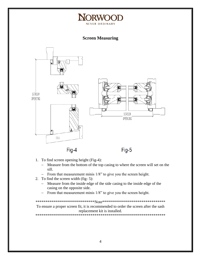### **NORWO** NEVER ORDINARY

**Screen Measuring** 



- 1. To find screen opening height (Fig-4):
	- Measure from the bottom of the top casing to where the screen will set on the  $$ sill.
	- From that measurement minis 1/8" to give you the screen height.
- 2. To find the screen width (fig-5):
	- Measure from the inside edge of the side casing to the inside edge of the  $\frac{1}{2}$ casing on the opposite side.
	- From that measurement minis 1/8" to give you the screen height.  $\frac{1}{2}$

To ensure a proper screen fit, it is recommended to order the screen after the sash replacement kit is installed.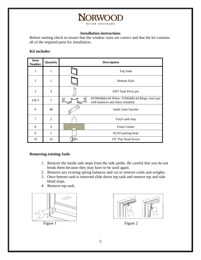

#### **Installation instructions**

Before starting check to ensure that the window sizes are correct and that the kit contains all of the required parts for installation,

#### **Kit includes**:

| <b>Item</b><br><b>Number</b> | Quantity       | <b>Description</b> |                                                                                     |
|------------------------------|----------------|--------------------|-------------------------------------------------------------------------------------|
| $\mathbf{1}$                 | 1              |                    | Top Sash                                                                            |
| $\overline{2}$               | 1              |                    | <b>Bottom Sash</b>                                                                  |
| 3                            | $\overline{4}$ |                    | #207 Sash Pivot pin                                                                 |
| 4 & 5                        | $\overline{2}$ |                    | #N30648da144 White-N3064db144 Beige vinyl pan<br>with balances and shoes installed. |
| 6                            | 48             |                    | Jamb Liner bracket                                                                  |
| 7                            | $\overline{2}$ |                    | Vinyl sash stop                                                                     |
| 8                            | $\overline{4}$ |                    | Foam Gasket                                                                         |
| 9                            | 1              |                    | #2243 parting bead                                                                  |
| 10                           | 16             | œ                  | 3/8" Pan Head Screw                                                                 |

#### **Removing existing Sash:**

- 1. Remove the inside side stops from the side jambs. Be careful that you do not break them because they may have to be used again.
- 2. Remove any existing spring balances and cut or remove cords and weights.
- 3. Once bottom sash is removed slide down top sash and remove top and side blind stops.
- 4. Remove top sash.





Figure 1 Figure 2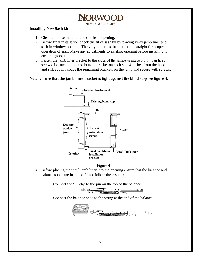## NEVER ORDINARY

#### **Installing New Sash kit:**

- 1. Clean all loose material and dirt from opening,
- 2. Before final installation check the fit of sash kit by placing vinyl jamb liner and sash in window opening. The vinyl pan must be plumb and straight for proper operation of sash. Make any adjustments to existing opening before installing to ensure a good fit.
- 3. Fasten the jamb liner bracket to the sides of the jambs using two 3/8" pan head screws. Locate the top and bottom bracket on each side 4 inches from the head and sill, equally space the remaining brackets on the jamb and secure with screws.

#### **Note: ensure that the jamb liner bracket is tight against the blind stop see figure 4.**



#### Figure 4

- 4. Before placing the vinyl jamb liner into the opening ensure that the balance and balance shoes are installed. If not follow these steps:
	- Connect the 'S" clip to the pin on the top of the balance.



Connect the balance shoe to the string at the end of the balance,

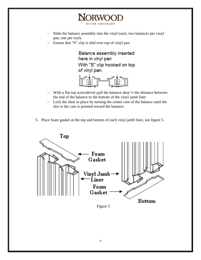

**NORWOOD** NEVER ORDINARY

- Ensure that "S" clip is sled over top of vinyl pan.

Balance assembly inserted here in vinyl pan With "S" clip hooked on top of vinyl pan.

- With a flat top screwdriver pull the balance shoe  $\frac{1}{2}$  the distance between the end of the balance to the bottom of the vinyl jamb liner
- Lock the shoe in place by turning the center cam of the balance until the slot in the cam is pointed toward the balance.
- 5. Place foam gasket at the top and bottom of each vinyl jamb liner, see figure 5.



Figure 5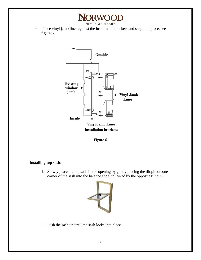6. Place vinyl jamb liner against the installation brackets and snap into place, see figure 6.

**NORWOOD** NEVER ORDINARY





#### **Installing top sash:**

1. Slowly place the top sash in the opening by gently placing the tilt pin on one corner of the sash into the balance shoe, followed by the opposite tilt pin.



2. Push the sash up until the sash locks into place.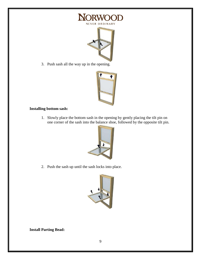



3. Push sash all the way up in the opening.



#### **Installing bottom sash:**

1. Slowly place the bottom sash in the opening by gently placing the tilt pin on one corner of the sash into the balance shoe, followed by the opposite tilt pin.



2. Push the sash up until the sash locks into place.



**Install Parting Bead:**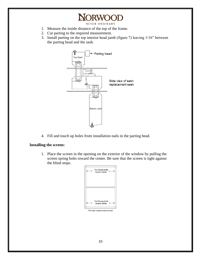## **NORWOOD**

NEVER ORDINARY

- 1. Measure the inside distance of the top of the frame.
- 2. Cut parting to the required measurement.
- 3. Install parting on the top interior head jamb (figure 7) leaving 1/16" between the parting bead and the sash.



4. Fill and touch up holes from installation nails in the parting bead.

#### **Installing the screen:**

1. Place the screen in the opening on the exterior of the window by pulling the screen spring bolts toward the center. Be sure that the screen is tight against the blind stops.